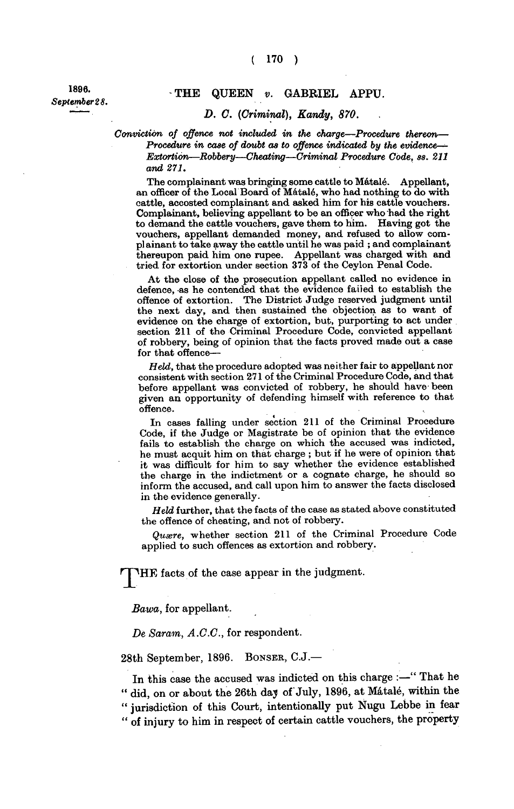## **1896.**<br>September 28. **THE QUEEN** v. GABRIEL APPU.

## *D. C. (Criminal), Kandy, 870.*

*Conviction of offence not included in the charge—Procedure thereon— Procedure in case of doubt as to offence indicated by the evidence-Extortion—Robbery—Cheating—Criminal Procedure Code, ss. 211 and 271.* 

**The complainant was bringing some cattle to Matale. Appellant, an officer of the Local Board of Matale, who had nothing to do with cattle, accosted complainant and asked him for his cattle vouchers. Complainant, believing appellant to be an officer who had the right to demand the cattle vouchers, gave them to him. Having got the vouchers, appellant demanded money, and refused to allow complainant to take away the cattle until he was paid ; and complainant thereupon paid him one rupee. Appellant was charged with and tried for extortion under section 373 of the Ceylon Penal Code.** 

**At the close of the prosecution appellant called no evidence in defence, as he contended that the evidence failed to establish the offence of extortion. The District Judge reserved judgment until the next day, and then sustained the objection as to want of evidence on the charge of extortion, but, purporting to act under section 211 of the Criminal Procedure Code, convicted appellant of robbery, being of opinion that the facts proved made out a case for that offence—** 

*Held,* **that the procedure adopted was neither fair to appellant nor consistent with section 271 of the Criminal Procedure Code, and that**  before appellant was convicted of robbery, he should have been **given an opportunity of defending himself with reference to that offence.** 

**In cases falling under section 211 of the Criminal Procedure Code, if the Judge or Magistrate be of opinion that the evidence fails to establish the charge on which the accused was indicted, he must acquit him on that charge ; but if he were of opinion that it was difficult for him to say whether the evidence established the charge in the indictment or a cognate charge, he should so inform the accused, and call upon him to answer the facts disclosed in the evidence generally.** 

*Held* **further, that the facts of the case as stated above constituted the offence of cheating, and not of robbery.** 

*Quaere,* **whether section 211 of the Criminal Procedure Code applied to such offences as extortion and robbery.** 

**THE facts of the case appear in the judgment.** 

*Bawa,* **for appellant.** 

r

*De Saram, A.C.C.,* **for respondent.** 

**28th September, 1896. BONSER , C.J.—** 

**In this case the accused was indicted on this charge :—" That he " did, on or about the 26th daj of July, 1896, at Matale, within the " jurisdiction of this Court, intentionally put Nugu Lebbe in fear " of injury to him in respect of certain cattle vouchers, the property**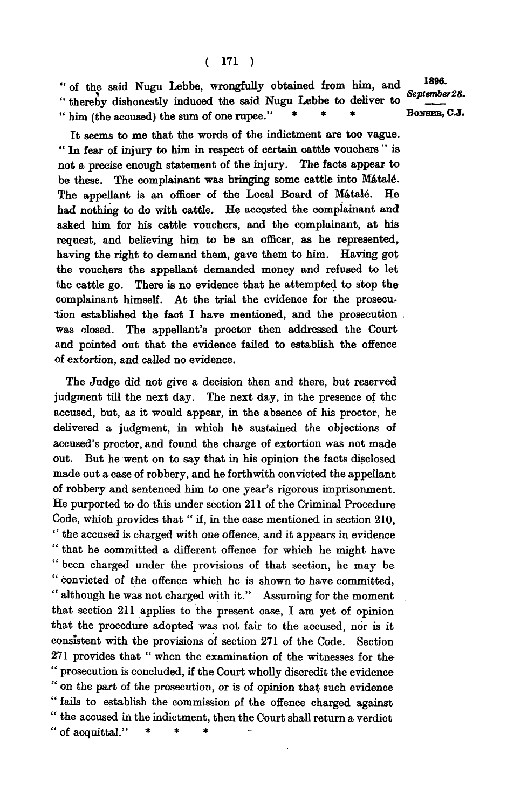**" of the said Nugu Lebbe, wrongfully obtained from him, and " thereby dishonestly induced the said Nugu Lebbe to deliver to**  " him (the accused) the sum of one rupee."

**It seems to me that the words of the indictment are too vague. " In fear of injury to him in respect of certain cattle vouchers " is not a precise enough statement of the injury. The facts appear to**  be these. The complainant was bringing some cattle into Mátalé. **The appellant is an officer of the Local Board of Matale. He had nothing to do with cattle. He accosted the complainant and asked him for his cattle vouchers, and the complainant, at his request, and believing him to be an officer, as he represented, having the right to demand them, gave them to him. Having got the vouchers the appellant demanded money and refused to let the cattle go. There is no evidence that he attempted to stop the complainant himself. At the trial the evidence for the prosecution established the fact I have mentioned, and the prosecution was closed. The appellant's proctor then addressed the Court and pointed out that the evidence failed to establish the offence of extortion, and called no evidence.** 

**The Judge did not give a decision then and there, but reserved judgment till the next day. The next day, in the presence of the accused, but, as it would appear, in the absence of his proctor, he delivered a judgment, in which he sustained the objections of accused's proctor, and found the charge of extortion was not made out. But he went on to say that in his opinion the facts disclosed made out a case of robbery, and he forthwith convicted the appellant of robbery and sentenced him to one year's rigorous imprisonment. He purported to do this under section 211 of the Criminal Procedure Code, which provides that " if, in the case mentioned in section 210, '' the accused is charged with one offence, and it appears in evidence " that he committed a different offence for which he might have " been charged under the provisions of that section, he may be " convicted of the offence which he is shown to have committed, " although he was not charged with it." Assuming for the moment that section 211 applies to the present case, I am yet of opinion that the procedure adopted was not fair to the accused, nor is it consistent with the provisions of section 271 of the Code. Section 271 provides that " when the examination of the witnesses for the " prosecution is concluded, if the Court wholly discredit the evidence " on the part of the prosecution, or is of opinion that such evidence " fails to establish the commission pf the offence charged against " the accused in the indictment, then the Court shall return a verdict**  " of acquittal."

1896. September 28. BONSER, C.J.